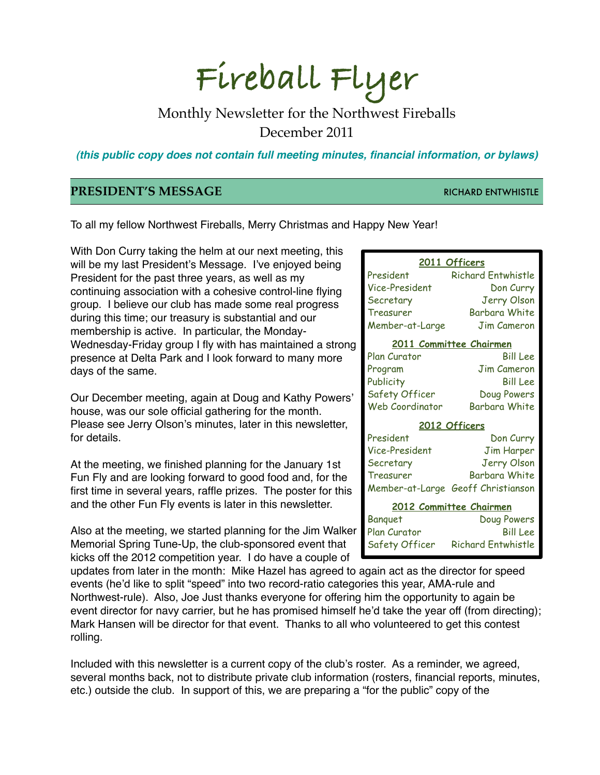# **Fireball Flyer**

# Monthly Newsletter for the Northwest Fireballs December 2011

*(this public copy does not contain full meeting minutes, financial information, or bylaws)*

### **PRESIDENT'S MESSAGE RICHARD ENTWHISTLE**

To all my fellow Northwest Fireballs, Merry Christmas and Happy New Year!

With Don Curry taking the helm at our next meeting, this will be my last President's Message. I've enjoyed being President for the past three years, as well as my continuing association with a cohesive control-line flying group. I believe our club has made some real progress during this time; our treasury is substantial and our membership is active. In particular, the Monday-Wednesday-Friday group I fly with has maintained a strong presence at Delta Park and I look forward to many more days of the same.

Our December meeting, again at Doug and Kathy Powers' house, was our sole official gathering for the month. Please see Jerry Olson's minutes, later in this newsletter, for details.

At the meeting, we finished planning for the January 1st Fun Fly and are looking forward to good food and, for the first time in several years, raffle prizes. The poster for this and the other Fun Fly events is later in this newsletter.

Also at the meeting, we started planning for the Jim Walker Memorial Spring Tune-Up, the club-sponsored event that kicks off the 2012 competition year. I do have a couple of

| 2011 Officers                  |                                    |  |
|--------------------------------|------------------------------------|--|
| President                      | <b>Richard Entwhistle</b>          |  |
| Vice-President                 | Don Curry                          |  |
| Secretary                      | <b>Jerry Olson</b>                 |  |
| Treasurer                      | <b>Barbara White</b>               |  |
| Member-at-Large                | Jim Cameron                        |  |
| <u>2011 Committee Chairmen</u> |                                    |  |
| Plan Curator                   | <b>Bill Lee</b>                    |  |
| Program                        | <b>Jim Cameron</b>                 |  |
| Publicity                      | <b>Bill Lee</b>                    |  |
| Safety Officer                 | Doug Powers                        |  |
| <b>Web Coordinator</b>         | <b>Barbara White</b>               |  |
| 2012 Officers                  |                                    |  |
| President                      | Don Curry                          |  |
| Vice-President                 | <b>Jim Harper</b>                  |  |
| Secretary                      | <b>Jerry Olson</b>                 |  |
| Treasurer                      | <b>Barbara White</b>               |  |
|                                | Member-at-Large Geoff Christianson |  |
| 2012 Committee Chairmen        |                                    |  |
| Banguet                        | Doug Powers                        |  |
| Plan Curator                   | Bill Lee                           |  |
| Safety Officer                 | Richard Entwhistle                 |  |

updates from later in the month: Mike Hazel has agreed to again act as the director for speed events (he'd like to split "speed" into two record-ratio categories this year, AMA-rule and Northwest-rule). Also, Joe Just thanks everyone for offering him the opportunity to again be event director for navy carrier, but he has promised himself he'd take the year off (from directing); Mark Hansen will be director for that event. Thanks to all who volunteered to get this contest rolling.

Included with this newsletter is a current copy of the club's roster. As a reminder, we agreed, several months back, not to distribute private club information (rosters, financial reports, minutes, etc.) outside the club. In support of this, we are preparing a "for the public" copy of the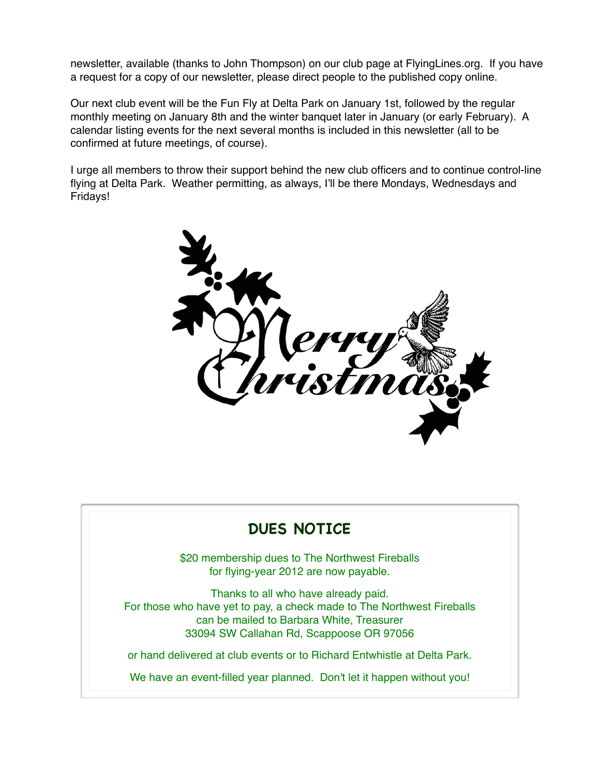newsletter, available (thanks to John Thompson) on our club page at FlyingLines.org. If you have a request for a copy of our newsletter, please direct people to the published copy online.

Our next club event will be the Fun Fly at Delta Park on January 1st, followed by the regular monthly meeting on January 8th and the winter banquet later in January (or early February). A calendar listing events for the next several months is included in this newsletter (all to be confirmed at future meetings, of course).

I urge all members to throw their support behind the new club officers and to continue control-line flying at Delta Park. Weather permitting, as always, I'll be there Mondays, Wednesdays and Fridays!



# **DUES NOTICE**

\$20 membership dues to The Northwest Fireballs for flying-year 2012 are now payable.

Thanks to all who have already paid. For those who have yet to pay, a check made to The Northwest Fireballs can be mailed to Barbara White, Treasurer 33094 SW Callahan Rd, Scappoose OR 97056

or hand delivered at club events or to Richard Entwhistle at Delta Park.

We have an event-filled year planned. Don't let it happen without you!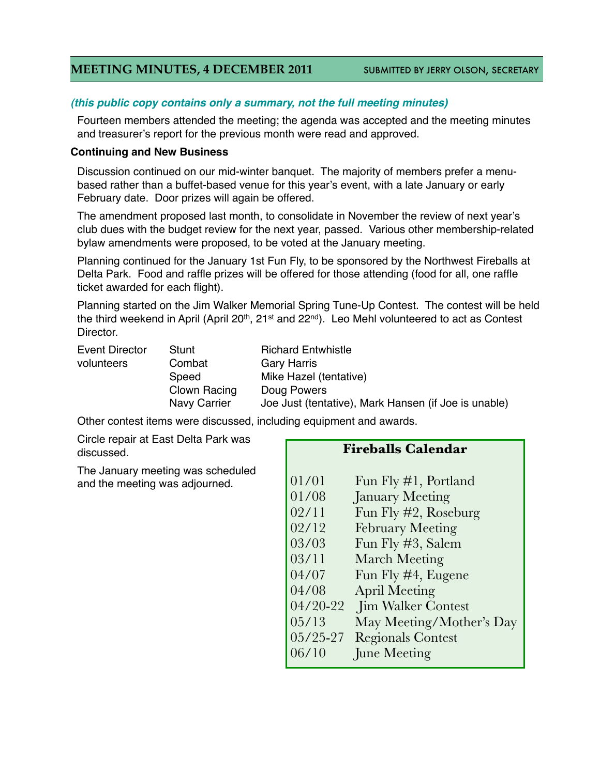### **MEETING MINUTES, 4 DECEMBER 2011** SUBMITTED BY JERRY OLSON, SECRETARY

### *(this public copy contains only a summary, not the full meeting minutes)*

Fourteen members attended the meeting; the agenda was accepted and the meeting minutes and treasurer's report for the previous month were read and approved.

#### **Continuing and New Business**

Discussion continued on our mid-winter banquet. The majority of members prefer a menubased rather than a buffet-based venue for this year's event, with a late January or early February date. Door prizes will again be offered.

The amendment proposed last month, to consolidate in November the review of next year's club dues with the budget review for the next year, passed. Various other membership-related bylaw amendments were proposed, to be voted at the January meeting.

Planning continued for the January 1st Fun Fly, to be sponsored by the Northwest Fireballs at Delta Park. Food and raffle prizes will be offered for those attending (food for all, one raffle ticket awarded for each flight).

Planning started on the Jim Walker Memorial Spring Tune-Up Contest. The contest will be held the third weekend in April (April 20<sup>th</sup>, 21<sup>st</sup> and 22<sup>nd</sup>). Leo Mehl volunteered to act as Contest Director.

| <b>Event Director</b> | S |
|-----------------------|---|
| volunteers            |   |
|                       | S |
|                       |   |
|                       |   |

Itunt **Richard Entwhistle** ombat Gary Harris peed Mike Hazel (tentative) Iown Racing Doug Powers lavy Carrier Joe Just (tentative), Mark Hansen (if Joe is unable)

Other contest items were discussed, including equipment and awards.

Circle repair at East Delta Park was discussed.

The January meeting was scheduled and the meeting was adjourned.

### **Fireballs Calendar**

| 01/01        | Fun Fly #1, Portland      |
|--------------|---------------------------|
| 01/08        | <b>January Meeting</b>    |
| 02/11        | Fun Fly #2, Roseburg      |
| 02/12        | <b>February Meeting</b>   |
| 03/03        | Fun Fly #3, Salem         |
| 03/11        | <b>March Meeting</b>      |
| 04/07        | Fun Fly #4, Eugene        |
| 04/08        | <b>April Meeting</b>      |
| 04/20-22     | <b>Jim Walker Contest</b> |
| 05/13        | May Meeting/Mother's Day  |
| $05/25 - 27$ | <b>Regionals Contest</b>  |
| 06/10        | June Meeting              |
|              |                           |